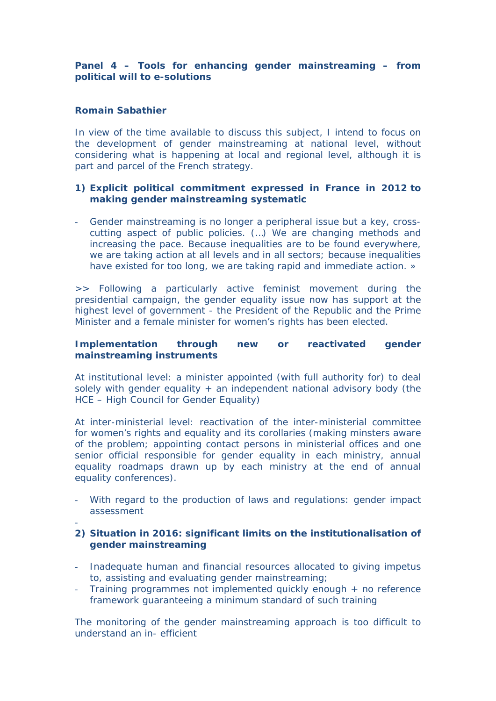**Panel 4 – Tools for enhancing gender mainstreaming – from political will to e-solutions**

**Romain Sabathier**

-

In view of the time available to discuss this subject, I intend to focus on the development of gender mainstreaming at national level, without considering what is happening at local and regional level, although it is part and parcel of the French strategy.

- **1) Explicit political commitment expressed in France in 2012 to making gender mainstreaming systematic**
- Gender mainstreaming is no longer a peripheral issue but a key, crosscutting aspect of public policies. (…) We are changing methods and increasing the pace. Because inequalities are to be found everywhere, we are taking action at all levels and in all sectors; because inequalities have existed for too long, we are taking rapid and immediate action. »

>> Following a particularly active feminist movement during the presidential campaign, the gender equality issue now has support at the highest level of government - the President of the Republic and the Prime Minister and a female minister for women's rights has been elected.

**Implementation through new or reactivated gender mainstreaming instruments**

At institutional level: a minister appointed (with full authority for) to deal solely with gender equality  $+$  an independent national advisory body (the HCE – High Council for Gender Equality)

At inter-ministerial level: reactivation of the inter-ministerial committee for women's rights and equality and its corollaries (making minsters aware of the problem; appointing contact persons in ministerial offices and one senior official responsible for gender equality in each ministry, annual equality roadmaps drawn up by each ministry at the end of annual equality conferences).

- With regard to the production of laws and regulations: gender impact assessment
- **2) Situation in 2016: significant limits on the institutionalisation of gender mainstreaming**
- Inadequate human and financial resources allocated to giving impetus to, assisting and evaluating gender mainstreaming;
- Training programmes not implemented quickly enough + no reference framework guaranteeing a minimum standard of such training

The monitoring of the gender mainstreaming approach is too difficult to understand an in- efficient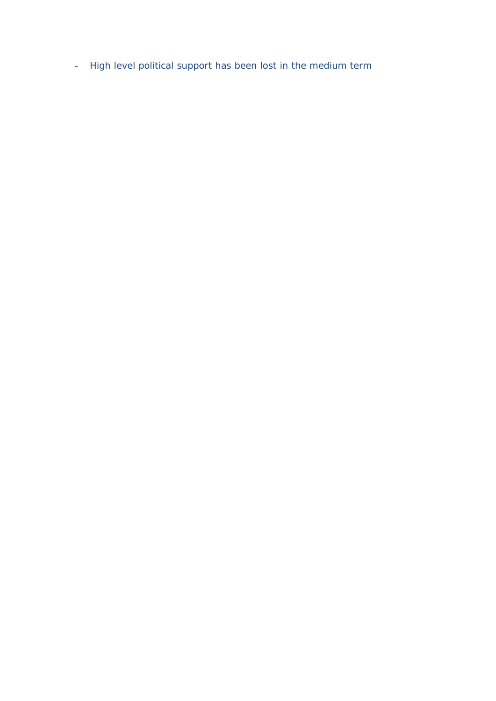- High level political support has been lost in the medium term